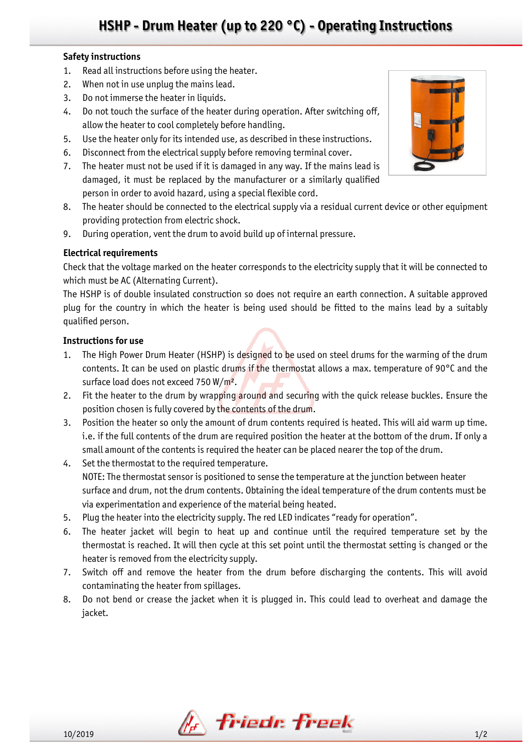# **HSHP - Drum Heater (up to 220 °C) - Operating Instructions**

### **Safety instructions**

- 1. Read all instructions before using the heater.
- 2. When not in use unplug the mains lead.
- 3. Do not immerse the heater in liquids.
- 4. Do not touch the surface of the heater during operation. After switching off, allow the heater to cool completely before handling.
- 5. Use the heater only for its intended use, as described in these instructions.
- 6. Disconnect from the electrical supply before removing terminal cover.
- 7. The heater must not be used if it is damaged in any way. If the mains lead is damaged, it must be replaced by the manufacturer or a similarly qualified person in order to avoid hazard, using a special flexible cord.
- 8. The heater should be connected to the electrical supply via a residual current device or other equipment providing protection from electric shock.
- 9. During operation, vent the drum to avoid build up of internal pressure.

### **Electrical requirements**

Check that the voltage marked on the heater corresponds to the electricity supply that it will be connected to which must be AC (Alternating Current).

The HSHP is of double insulated construction so does not require an earth connection. A suitable approved plug for the country in which the heater is being used should be fitted to the mains lead by a suitably qualified person.

#### **Instructions for use**

- 1. The High Power Drum Heater (HSHP) is designed to be used on steel drums for the warming of the drum contents. It can be used on plastic drums if the thermostat allows a max. temperature of 90°C and the surface load does not exceed 750 W/m<sup>2</sup>.
- 2. Fit the heater to the drum by wrapping around and securing with the quick release buckles. Ensure the position chosen is fully covered by the contents of the drum.
- 3. Position the heater so only the amount of drum contents required is heated. This will aid warm up time. i.e. if the full contents of the drum are required position the heater at the bottom of the drum. If only a small amount of the contents is required the heater can be placed nearer the top of the drum.
- 4. Set the thermostat to the required temperature. NOTE: The thermostat sensor is positioned to sense the temperature at the junction between heater surface and drum, not the drum contents. Obtaining the ideal temperature of the drum contents must be via experimentation and experience of the material being heated.
- 5. Plug the heater into the electricity supply. The red LED indicates "ready for operation".
- 6. The heater jacket will begin to heat up and continue until the required temperature set by the thermostat is reached. It will then cycle at this set point until the thermostat setting is changed or the heater is removed from the electricity supply.
- 7. Switch off and remove the heater from the drum before discharging the contents. This will avoid contaminating the heater from spillages.
- 8. Do not bend or crease the jacket when it is plugged in. This could lead to overheat and damage the jacket.